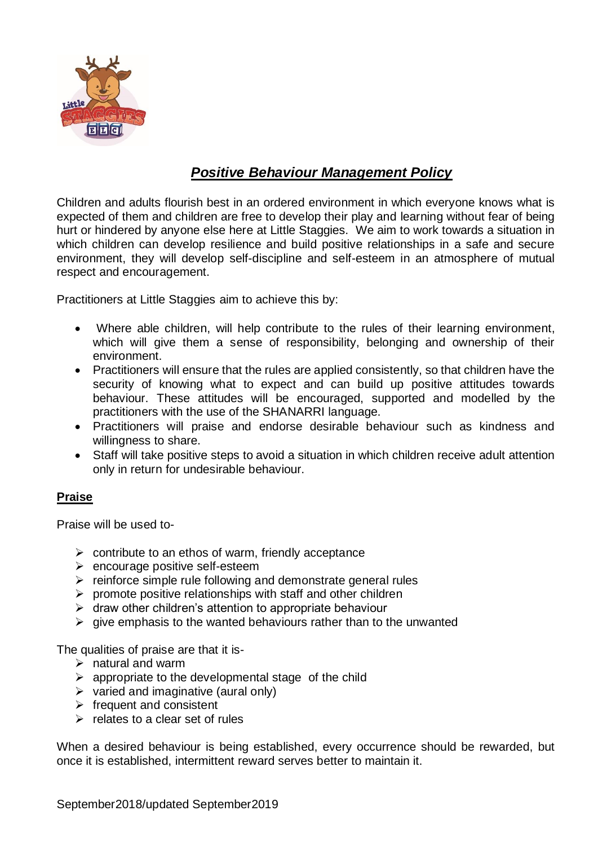

## *Positive Behaviour Management Policy*

Children and adults flourish best in an ordered environment in which everyone knows what is expected of them and children are free to develop their play and learning without fear of being hurt or hindered by anyone else here at Little Staggies. We aim to work towards a situation in which children can develop resilience and build positive relationships in a safe and secure environment, they will develop self-discipline and self-esteem in an atmosphere of mutual respect and encouragement.

Practitioners at Little Staggies aim to achieve this by:

- Where able children, will help contribute to the rules of their learning environment, which will give them a sense of responsibility, belonging and ownership of their environment.
- Practitioners will ensure that the rules are applied consistently, so that children have the security of knowing what to expect and can build up positive attitudes towards behaviour. These attitudes will be encouraged, supported and modelled by the practitioners with the use of the SHANARRI language.
- Practitioners will praise and endorse desirable behaviour such as kindness and willingness to share.
- Staff will take positive steps to avoid a situation in which children receive adult attention only in return for undesirable behaviour.

## **Praise**

Praise will be used to-

- $\triangleright$  contribute to an ethos of warm, friendly acceptance
- ➢ encourage positive self-esteem
- ➢ reinforce simple rule following and demonstrate general rules
- $\triangleright$  promote positive relationships with staff and other children
- $\triangleright$  draw other children's attention to appropriate behaviour
- $\triangleright$  give emphasis to the wanted behaviours rather than to the unwanted

The qualities of praise are that it is-

- $\triangleright$  natural and warm
- $\triangleright$  appropriate to the developmental stage of the child
- $\triangleright$  varied and imaginative (aural only)
- $\triangleright$  frequent and consistent
- $\triangleright$  relates to a clear set of rules

When a desired behaviour is being established, every occurrence should be rewarded, but once it is established, intermittent reward serves better to maintain it.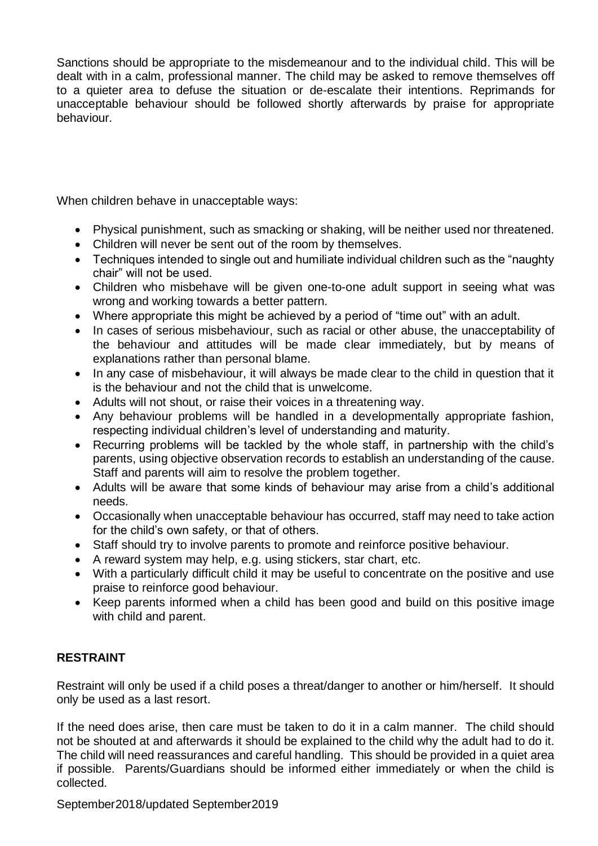Sanctions should be appropriate to the misdemeanour and to the individual child. This will be dealt with in a calm, professional manner. The child may be asked to remove themselves off to a quieter area to defuse the situation or de-escalate their intentions. Reprimands for unacceptable behaviour should be followed shortly afterwards by praise for appropriate behaviour.

When children behave in unacceptable ways:

- Physical punishment, such as smacking or shaking, will be neither used nor threatened.
- Children will never be sent out of the room by themselves.
- Techniques intended to single out and humiliate individual children such as the "naughty" chair" will not be used.
- Children who misbehave will be given one-to-one adult support in seeing what was wrong and working towards a better pattern.
- Where appropriate this might be achieved by a period of "time out" with an adult.
- In cases of serious misbehaviour, such as racial or other abuse, the unacceptability of the behaviour and attitudes will be made clear immediately, but by means of explanations rather than personal blame.
- In any case of misbehaviour, it will always be made clear to the child in question that it is the behaviour and not the child that is unwelcome.
- Adults will not shout, or raise their voices in a threatening way.
- Any behaviour problems will be handled in a developmentally appropriate fashion, respecting individual children's level of understanding and maturity.
- Recurring problems will be tackled by the whole staff, in partnership with the child's parents, using objective observation records to establish an understanding of the cause. Staff and parents will aim to resolve the problem together.
- Adults will be aware that some kinds of behaviour may arise from a child's additional needs.
- Occasionally when unacceptable behaviour has occurred, staff may need to take action for the child's own safety, or that of others.
- Staff should try to involve parents to promote and reinforce positive behaviour.
- A reward system may help, e.g. using stickers, star chart, etc.
- With a particularly difficult child it may be useful to concentrate on the positive and use praise to reinforce good behaviour.
- Keep parents informed when a child has been good and build on this positive image with child and parent.

## **RESTRAINT**

Restraint will only be used if a child poses a threat/danger to another or him/herself. It should only be used as a last resort.

If the need does arise, then care must be taken to do it in a calm manner. The child should not be shouted at and afterwards it should be explained to the child why the adult had to do it. The child will need reassurances and careful handling. This should be provided in a quiet area if possible. Parents/Guardians should be informed either immediately or when the child is collected.

September2018/updated September2019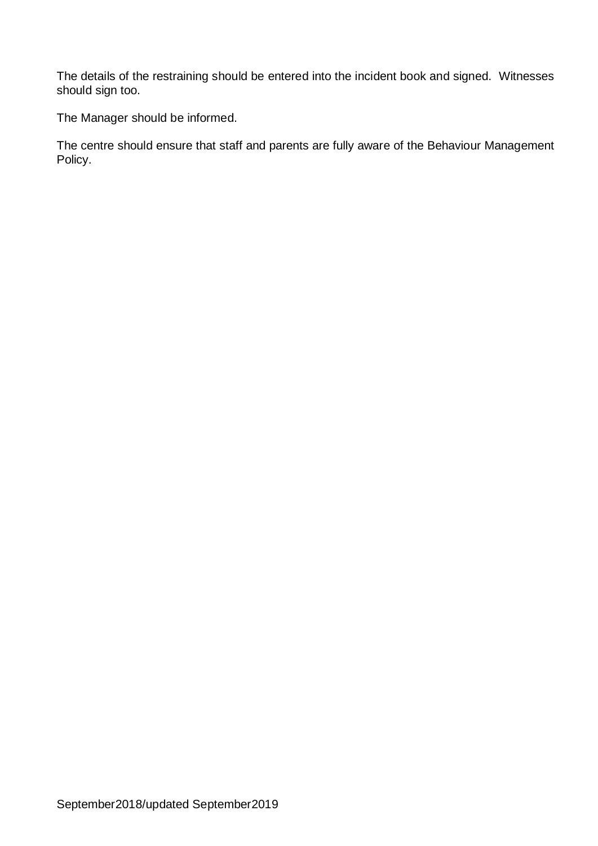The details of the restraining should be entered into the incident book and signed. Witnesses should sign too.

The Manager should be informed.

The centre should ensure that staff and parents are fully aware of the Behaviour Management Policy.